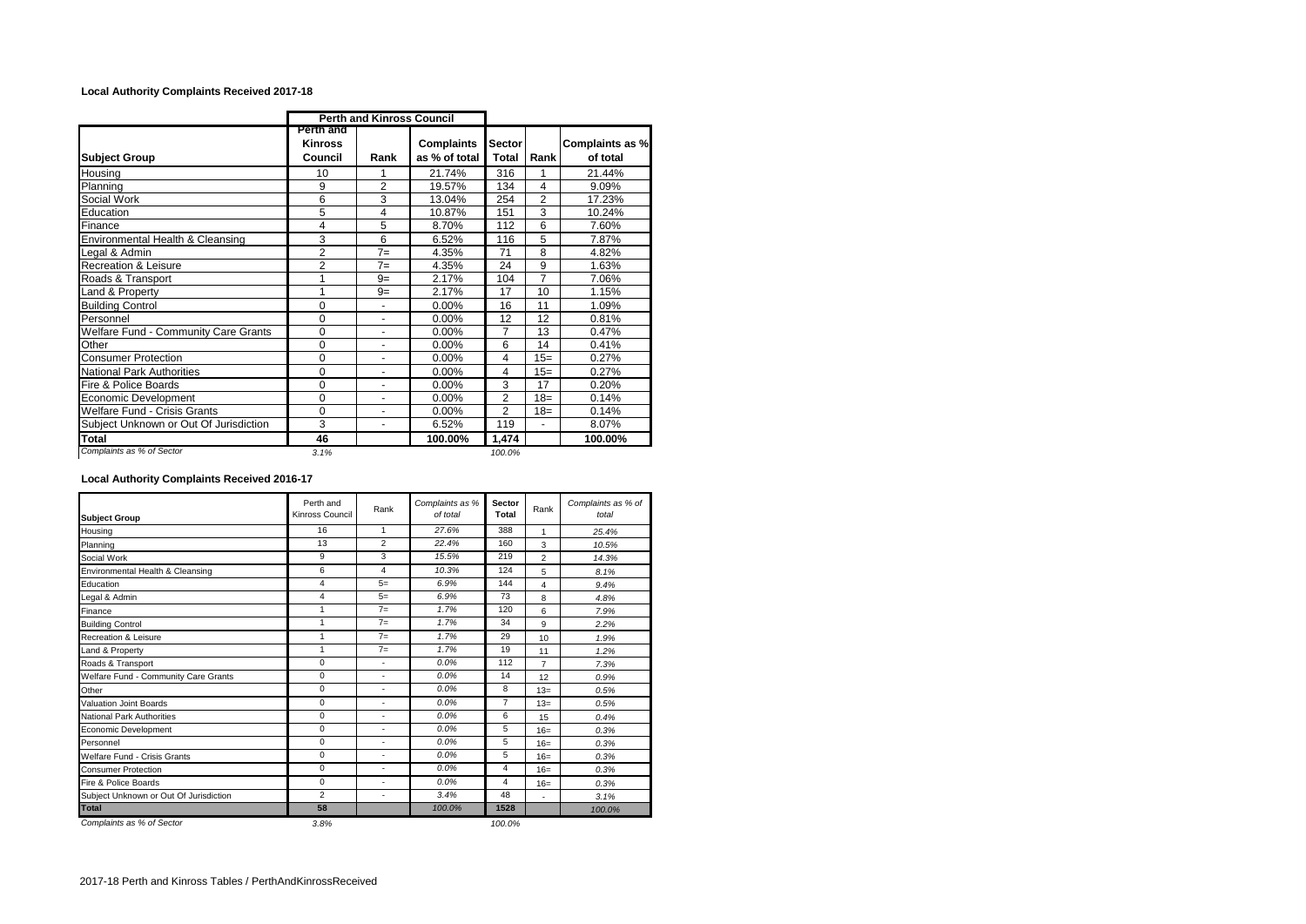## **Local Authority Complaints Received 2017-18**

|                                        |                                        | <b>Perth and Kinross Council</b> |                                    |                        |                |                             |
|----------------------------------------|----------------------------------------|----------------------------------|------------------------------------|------------------------|----------------|-----------------------------|
| <b>Subject Group</b>                   | Perth and<br><b>Kinross</b><br>Council | Rank                             | <b>Complaints</b><br>as % of total | <b>Sector</b><br>Total | Rank           | Complaints as %<br>of total |
| Housing                                | 10                                     |                                  | 21.74%                             | 316                    | 1              | 21.44%                      |
| Planning                               | 9                                      | $\overline{2}$                   | 19.57%                             | 134                    | 4              | 9.09%                       |
| Social Work                            | 6                                      | 3                                | 13.04%                             | 254                    | $\overline{2}$ | 17.23%                      |
| Education                              | 5                                      | 4                                | 10.87%                             | 151                    | 3              | 10.24%                      |
| Finance                                | 4                                      | 5                                | 8.70%                              | 112                    | 6              | 7.60%                       |
| Environmental Health & Cleansing       | 3                                      | 6                                | 6.52%                              | 116                    | 5              | 7.87%                       |
| Legal & Admin                          | $\overline{2}$                         | $7 =$                            | 4.35%                              | 71                     | 8              | 4.82%                       |
| <b>Recreation &amp; Leisure</b>        | $\overline{2}$                         | $7 =$                            | 4.35%                              | 24                     | 9              | 1.63%                       |
| Roads & Transport                      | 1                                      | $9=$                             | 2.17%                              | 104                    | $\overline{7}$ | 7.06%                       |
| Land & Property                        | 1                                      | $9=$                             | 2.17%                              | 17                     | 10             | 1.15%                       |
| <b>Building Control</b>                | 0                                      |                                  | 0.00%                              | 16                     | 11             | 1.09%                       |
| Personnel                              | 0                                      |                                  | 0.00%                              | 12                     | 12             | 0.81%                       |
| Welfare Fund - Community Care Grants   | 0                                      |                                  | 0.00%                              | 7                      | 13             | 0.47%                       |
| Other                                  | 0                                      | $\blacksquare$                   | $0.00\%$                           | 6                      | 14             | 0.41%                       |
| <b>Consumer Protection</b>             | 0                                      | ٠                                | 0.00%                              | 4                      | $15=$          | 0.27%                       |
| <b>National Park Authorities</b>       | 0                                      | ۰                                | 0.00%                              | 4                      | $15=$          | 0.27%                       |
| Fire & Police Boards                   | 0                                      | ۰                                | 0.00%                              | 3                      | 17             | 0.20%                       |
| Economic Development                   | 0                                      |                                  | 0.00%                              | 2                      | $18=$          | 0.14%                       |
| <b>Welfare Fund - Crisis Grants</b>    | 0                                      |                                  | 0.00%                              | 2                      | $18=$          | 0.14%                       |
| Subject Unknown or Out Of Jurisdiction | 3                                      | $\blacksquare$                   | 6.52%                              | 119                    | ٠              | 8.07%                       |
| Total                                  | 46                                     |                                  | 100.00%                            | 1,474                  |                | 100.00%                     |
| Complaints as % of Sector              | 3.1%                                   |                                  |                                    | 100.0%                 |                |                             |

## **Local Authority Complaints Received 2016-17**

| <b>Subject Group</b>                   | Perth and<br>Kinross Council | Rank           | Complaints as %<br>of total | <b>Sector</b><br>Total | Rank                    | Complaints as % of<br>total |
|----------------------------------------|------------------------------|----------------|-----------------------------|------------------------|-------------------------|-----------------------------|
| Housing                                | 16                           | 1              | 27.6%                       | 388                    | $\mathbf{1}$            | 25.4%                       |
| Planning                               | 13                           | $\overline{2}$ | 22.4%                       | 160                    | 3                       | 10.5%                       |
| Social Work                            | 9                            | 3              | 15.5%                       | 219                    | $\overline{2}$          | 14.3%                       |
| Environmental Health & Cleansing       | 6                            | 4              | 10.3%                       | 124                    | 5                       | 8.1%                        |
| Education                              | 4                            | $5=$           | 6.9%                        | 144                    | $\overline{\mathbf{4}}$ | 9.4%                        |
| Legal & Admin                          | 4                            | $5=$           | 6.9%                        | 73                     | 8                       | 4.8%                        |
| Finance                                | 1                            | $7 =$          | 1.7%                        | 120                    | 6                       | 7.9%                        |
| <b>Building Control</b>                | 1                            | $7=$           | 1.7%                        | 34                     | 9                       | 2.2%                        |
| Recreation & Leisure                   | 1                            | $7 =$          | 1.7%                        | 29                     | 10 <sup>1</sup>         | 1.9%                        |
| Land & Property                        | 1                            | $7 =$          | 1.7%                        | 19                     | 11                      | 1.2%                        |
| Roads & Transport                      | 0                            | ٠              | 0.0%                        | 112                    | $\overline{7}$          | 7.3%                        |
| Welfare Fund - Community Care Grants   | 0                            | ٠              | 0.0%                        | 14                     | 12                      | 0.9%                        |
| Other                                  | 0                            | ٠              | 0.0%                        | 8                      | $13=$                   | 0.5%                        |
| <b>Valuation Joint Boards</b>          | 0                            | ٠              | 0.0%                        | $\overline{7}$         | $13=$                   | 0.5%                        |
| <b>National Park Authorities</b>       | 0                            | ٠              | 0.0%                        | 6                      | 15                      | 0.4%                        |
| Economic Development                   | 0                            | ٠              | 0.0%                        | 5                      | $16=$                   | 0.3%                        |
| Personnel                              | 0                            | ٠              | 0.0%                        | 5                      | $16=$                   | 0.3%                        |
| Welfare Fund - Crisis Grants           | $\Omega$                     | ٠              | 0.0%                        | 5                      | $16=$                   | 0.3%                        |
| <b>Consumer Protection</b>             | 0                            | ٠              | 0.0%                        | 4                      | $16=$                   | 0.3%                        |
| Fire & Police Boards                   | 0                            | ٠              | 0.0%                        | 4                      | $16=$                   | 0.3%                        |
| Subject Unknown or Out Of Jurisdiction | $\overline{2}$               | ٠              | 3.4%                        | 48                     | ٠                       | 3.1%                        |
| <b>Total</b>                           | 58                           |                | 100.0%                      | 1528                   |                         | 100.0%                      |
| Complaints as % of Sector              | 3.8%                         |                |                             | 100.0%                 |                         |                             |